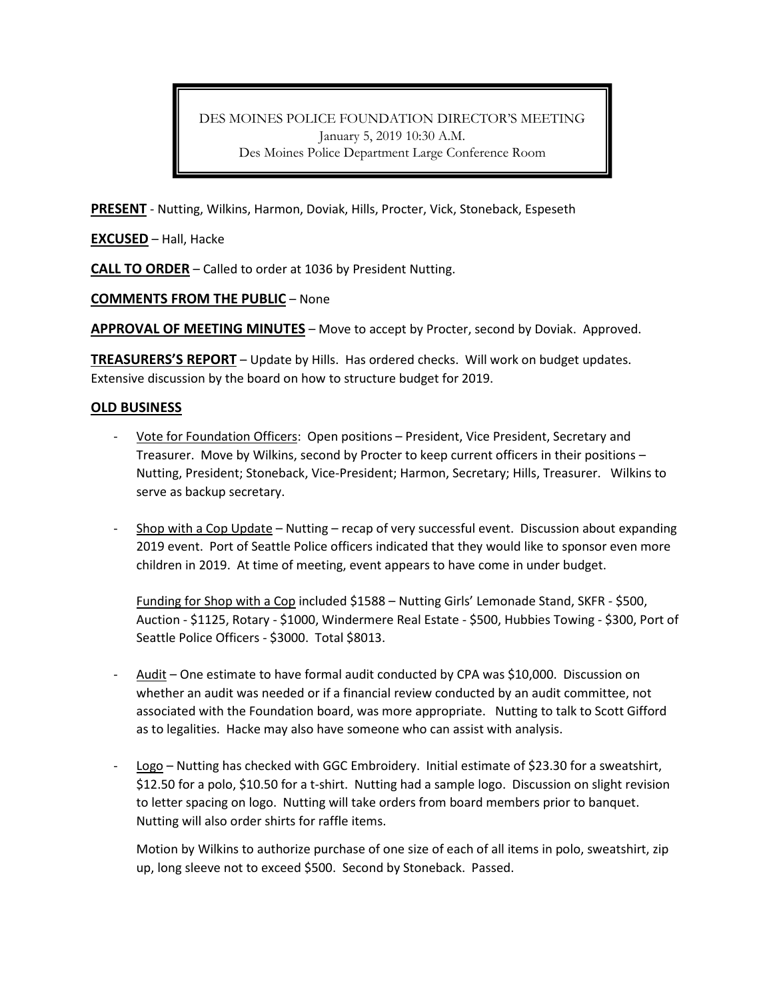DES MOINES POLICE FOUNDATION DIRECTOR'S MEETING January 5, 2019 10:30 A.M. Des Moines Police Department Large Conference Room

**PRESENT** - Nutting, Wilkins, Harmon, Doviak, Hills, Procter, Vick, Stoneback, Espeseth

**EXCUSED** – Hall, Hacke

**CALL TO ORDER** – Called to order at 1036 by President Nutting.

## **COMMENTS FROM THE PUBLIC** – None

**APPROVAL OF MEETING MINUTES** – Move to accept by Procter, second by Doviak. Approved.

**TREASURERS'S REPORT** – Update by Hills. Has ordered checks. Will work on budget updates. Extensive discussion by the board on how to structure budget for 2019.

## **OLD BUSINESS**

- Vote for Foundation Officers: Open positions President, Vice President, Secretary and Treasurer. Move by Wilkins, second by Procter to keep current officers in their positions – Nutting, President; Stoneback, Vice-President; Harmon, Secretary; Hills, Treasurer. Wilkins to serve as backup secretary.
- Shop with a Cop Update Nutting recap of very successful event. Discussion about expanding 2019 event. Port of Seattle Police officers indicated that they would like to sponsor even more children in 2019. At time of meeting, event appears to have come in under budget.

Funding for Shop with a Cop included \$1588 – Nutting Girls' Lemonade Stand, SKFR - \$500, Auction - \$1125, Rotary - \$1000, Windermere Real Estate - \$500, Hubbies Towing - \$300, Port of Seattle Police Officers - \$3000. Total \$8013.

- Audit One estimate to have formal audit conducted by CPA was \$10,000. Discussion on whether an audit was needed or if a financial review conducted by an audit committee, not associated with the Foundation board, was more appropriate. Nutting to talk to Scott Gifford as to legalities. Hacke may also have someone who can assist with analysis.
- Logo Nutting has checked with GGC Embroidery. Initial estimate of \$23.30 for a sweatshirt, \$12.50 for a polo, \$10.50 for a t-shirt. Nutting had a sample logo. Discussion on slight revision to letter spacing on logo. Nutting will take orders from board members prior to banquet. Nutting will also order shirts for raffle items.

Motion by Wilkins to authorize purchase of one size of each of all items in polo, sweatshirt, zip up, long sleeve not to exceed \$500. Second by Stoneback. Passed.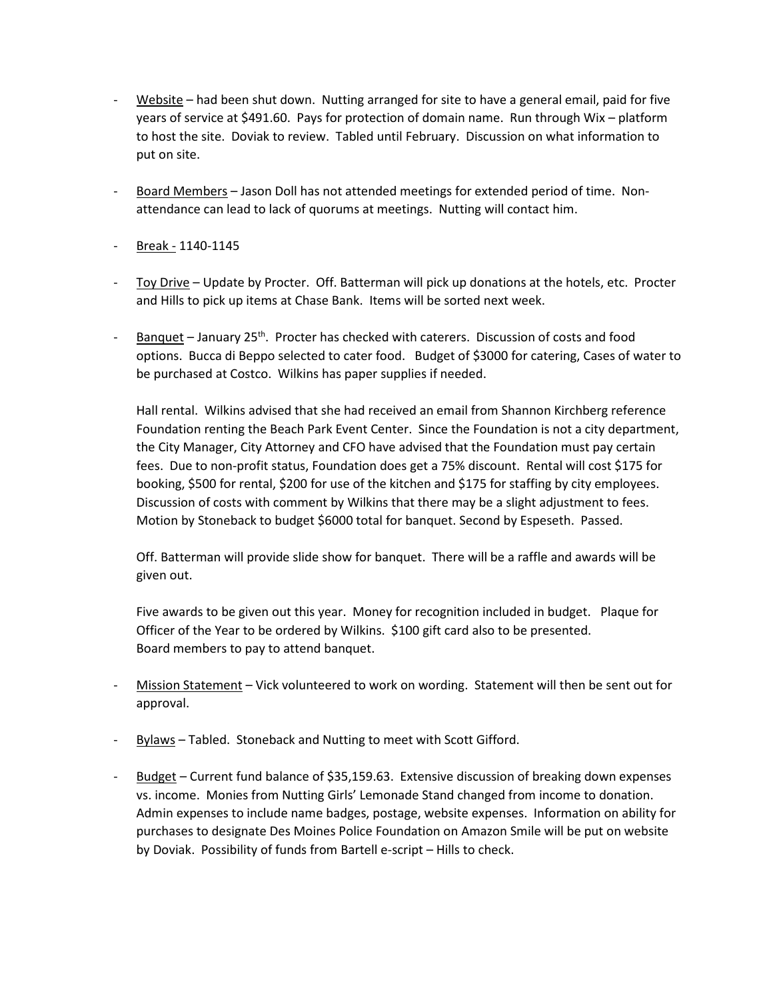- Website had been shut down. Nutting arranged for site to have a general email, paid for five years of service at \$491.60. Pays for protection of domain name. Run through Wix – platform to host the site. Doviak to review. Tabled until February. Discussion on what information to put on site.
- Board Members Jason Doll has not attended meetings for extended period of time. Nonattendance can lead to lack of quorums at meetings. Nutting will contact him.
- Break 1140-1145
- Toy Drive Update by Procter. Off. Batterman will pick up donations at the hotels, etc. Procter and Hills to pick up items at Chase Bank. Items will be sorted next week.
- Banquet January 25<sup>th</sup>. Procter has checked with caterers. Discussion of costs and food options. Bucca di Beppo selected to cater food. Budget of \$3000 for catering, Cases of water to be purchased at Costco. Wilkins has paper supplies if needed.

Hall rental. Wilkins advised that she had received an email from Shannon Kirchberg reference Foundation renting the Beach Park Event Center. Since the Foundation is not a city department, the City Manager, City Attorney and CFO have advised that the Foundation must pay certain fees. Due to non-profit status, Foundation does get a 75% discount. Rental will cost \$175 for booking, \$500 for rental, \$200 for use of the kitchen and \$175 for staffing by city employees. Discussion of costs with comment by Wilkins that there may be a slight adjustment to fees. Motion by Stoneback to budget \$6000 total for banquet. Second by Espeseth. Passed.

Off. Batterman will provide slide show for banquet. There will be a raffle and awards will be given out.

Five awards to be given out this year. Money for recognition included in budget. Plaque for Officer of the Year to be ordered by Wilkins. \$100 gift card also to be presented. Board members to pay to attend banquet.

- Mission Statement Vick volunteered to work on wording. Statement will then be sent out for approval.
- Bylaws Tabled. Stoneback and Nutting to meet with Scott Gifford.
- Budget Current fund balance of \$35,159.63. Extensive discussion of breaking down expenses vs. income. Monies from Nutting Girls' Lemonade Stand changed from income to donation. Admin expenses to include name badges, postage, website expenses. Information on ability for purchases to designate Des Moines Police Foundation on Amazon Smile will be put on website by Doviak. Possibility of funds from Bartell e-script – Hills to check.